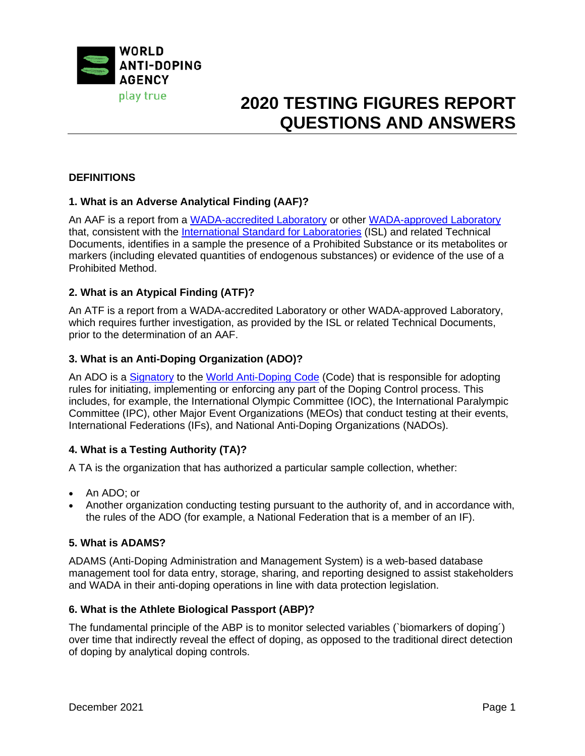

## **DEFINITIONS**

## **1. What is an Adverse Analytical Finding (AAF)?**

An AAF is a report from a [WADA-accredited Laboratory](https://www.wada-ama.org/en/what-we-do/science-medical/laboratories) or other [WADA-approved Laboratory](https://www.wada-ama.org/en/what-we-do/science-medical/laboratories/approved-laboratories) that, consistent with the [International Standard for Laboratories](https://www.wada-ama.org/en/resources/laboratories/international-standard-for-laboratories-isl) (ISL) and related Technical Documents, identifies in a sample the presence of a Prohibited Substance or its metabolites or markers (including elevated quantities of endogenous substances) or evidence of the use of a Prohibited Method.

## **2. What is an Atypical Finding (ATF)?**

An ATF is a report from a WADA-accredited Laboratory or other WADA-approved Laboratory, which requires further investigation, as provided by the ISL or related Technical Documents, prior to the determination of an AAF.

### **3. What is an Anti-Doping Organization (ADO)?**

An ADO is a [Signatory](https://www.wada-ama.org/en/code-signatories) to the [World Anti-Doping Code](https://www.wada-ama.org/en/what-we-do/the-code) (Code) that is responsible for adopting rules for initiating, implementing or enforcing any part of the Doping Control process. This includes, for example, the International Olympic Committee (IOC), the International Paralympic Committee (IPC), other Major Event Organizations (MEOs) that conduct testing at their events, International Federations (IFs), and National Anti-Doping Organizations (NADOs).

## **4. What is a Testing Authority (TA)?**

A TA is the organization that has authorized a particular sample collection, whether:

- An ADO; or
- Another organization conducting testing pursuant to the authority of, and in accordance with, the rules of the ADO (for example, a National Federation that is a member of an IF).

### **5. What is ADAMS?**

ADAMS (Anti-Doping Administration and Management System) is a web-based database management tool for data entry, storage, sharing, and reporting designed to assist stakeholders and WADA in their anti-doping operations in line with data protection legislation.

### **6. What is the Athlete Biological Passport (ABP)?**

The fundamental principle of the ABP is to monitor selected variables (`biomarkers of doping´) over time that indirectly reveal the effect of doping, as opposed to the traditional direct detection of doping by analytical doping controls.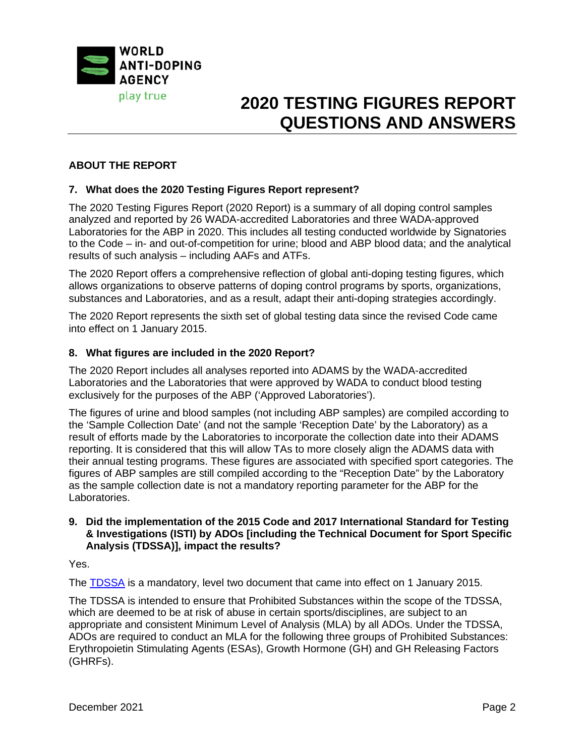

# **ABOUT THE REPORT**

## **7. What does the 2020 Testing Figures Report represent?**

The 2020 Testing Figures Report (2020 Report) is a summary of all doping control samples analyzed and reported by 26 WADA-accredited Laboratories and three WADA-approved Laboratories for the ABP in 2020. This includes all testing conducted worldwide by Signatories to the Code – in- and out-of-competition for urine; blood and ABP blood data; and the analytical results of such analysis – including AAFs and ATFs.

The 2020 Report offers a comprehensive reflection of global anti-doping testing figures, which allows organizations to observe patterns of doping control programs by sports, organizations, substances and Laboratories, and as a result, adapt their anti-doping strategies accordingly.

The 2020 Report represents the sixth set of global testing data since the revised Code came into effect on 1 January 2015.

### **8. What figures are included in the 2020 Report?**

The 2020 Report includes all analyses reported into ADAMS by the WADA-accredited Laboratories and the Laboratories that were approved by WADA to conduct blood testing exclusively for the purposes of the ABP ('Approved Laboratories').

The figures of urine and blood samples (not including ABP samples) are compiled according to the 'Sample Collection Date' (and not the sample 'Reception Date' by the Laboratory) as a result of efforts made by the Laboratories to incorporate the collection date into their ADAMS reporting. It is considered that this will allow TAs to more closely align the ADAMS data with their annual testing programs. These figures are associated with specified sport categories. The figures of ABP samples are still compiled according to the "Reception Date" by the Laboratory as the sample collection date is not a mandatory reporting parameter for the ABP for the Laboratories.

### **9. Did the implementation of the 2015 Code and 2017 International Standard for Testing & Investigations (ISTI) by ADOs [including the Technical Document for Sport Specific Analysis (TDSSA)], impact the results?**

Yes.

The **TDSSA** is a mandatory, level two document that came into effect on 1 January 2015.

The TDSSA is intended to ensure that Prohibited Substances within the scope of the TDSSA, which are deemed to be at risk of abuse in certain sports/disciplines, are subject to an appropriate and consistent Minimum Level of Analysis (MLA) by all ADOs. Under the TDSSA, ADOs are required to conduct an MLA for the following three groups of Prohibited Substances: Erythropoietin Stimulating Agents (ESAs), Growth Hormone (GH) and GH Releasing Factors (GHRFs).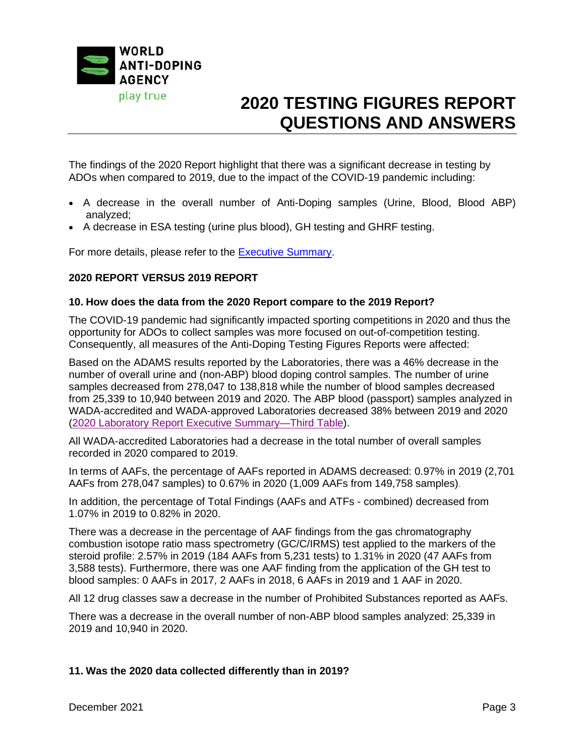

The findings of the 2020 Report highlight that there was a significant decrease in testing by ADOs when compared to 2019, due to the impact of the COVID-19 pandemic including:

- A decrease in the overall number of Anti-Doping samples (Urine, Blood, Blood ABP) analyzed;
- A decrease in ESA testing (urine plus blood), GH testing and GHRF testing.

For more details, please refer to the [Executive Summary.](https://www.wada-ama.org/sites/default/files/resources/files/2020_anti-doping_testing_figures_executive_summary_final.pdf)

## **2020 REPORT VERSUS 2019 REPORT**

## **10. How does the data from the 2020 Report compare to the 2019 Report?**

The COVID-19 pandemic had significantly impacted sporting competitions in 2020 and thus the opportunity for ADOs to collect samples was more focused on out-of-competition testing. Consequently, all measures of the Anti-Doping Testing Figures Reports were affected:

Based on the ADAMS results reported by the Laboratories, there was a 46% decrease in the number of overall urine and (non-ABP) blood doping control samples. The number of urine samples decreased from 278,047 to 138,818 while the number of blood samples decreased from 25,339 to 10,940 between 2019 and 2020. The ABP blood (passport) samples analyzed in WADA-accredited and WADA-approved Laboratories decreased 38% between 2019 and 2020 (2020 [Laboratory Report Executive Summary—Third Table\).](https://www.wada-ama.org/sites/default/files/resources/files/2020_anti-doping_testing_figures_en.pdf#page=5)

All WADA-accredited Laboratories had a decrease in the total number of overall samples recorded in 2020 compared to 2019.

In terms of AAFs, the percentage of AAFs reported in ADAMS decreased: 0.97% in 2019 (2,701 AAFs from 278,047 samples) to 0.67% in 2020 (1,009 AAFs from 149,758 samples).

In addition, the percentage of Total Findings (AAFs and ATFs - combined) decreased from 1.07% in 2019 to 0.82% in 2020.

There was a decrease in the percentage of AAF findings from the gas chromatography combustion isotope ratio mass spectrometry (GC/C/IRMS) test applied to the markers of the steroid profile: 2.57% in 2019 (184 AAFs from 5,231 tests) to 1.31% in 2020 (47 AAFs from 3,588 tests). Furthermore, there was one AAF finding from the application of the GH test to blood samples: 0 AAFs in 2017, 2 AAFs in 2018, 6 AAFs in 2019 and 1 AAF in 2020.

All 12 drug classes saw a decrease in the number of Prohibited Substances reported as AAFs.

There was a decrease in the overall number of non-ABP blood samples analyzed: 25,339 in 2019 and 10,940 in 2020.

### **11. Was the 2020 data collected differently than in 2019?**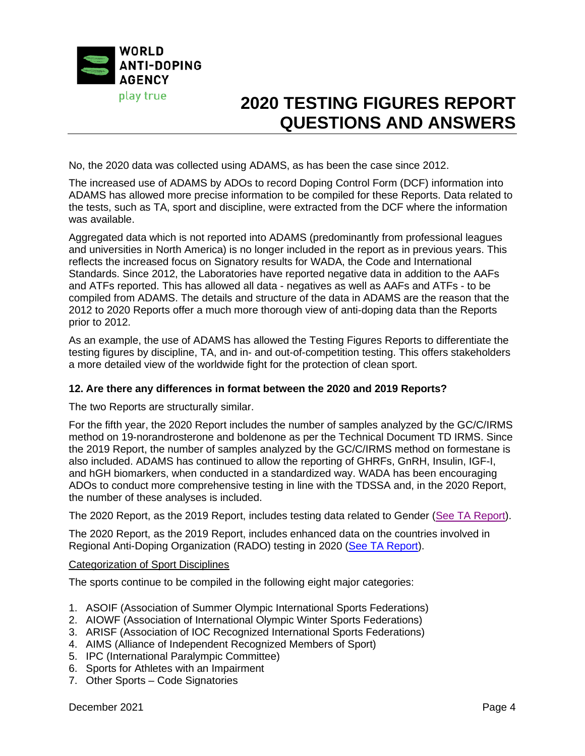

No, the 2020 data was collected using ADAMS, as has been the case since 2012.

The increased use of ADAMS by ADOs to record Doping Control Form (DCF) information into ADAMS has allowed more precise information to be compiled for these Reports. Data related to the tests, such as TA, sport and discipline, were extracted from the DCF where the information was available.

Aggregated data which is not reported into ADAMS (predominantly from professional leagues and universities in North America) is no longer included in the report as in previous years. This reflects the increased focus on Signatory results for WADA, the Code and International Standards. Since 2012, the Laboratories have reported negative data in addition to the AAFs and ATFs reported. This has allowed all data - negatives as well as AAFs and ATFs - to be compiled from ADAMS. The details and structure of the data in ADAMS are the reason that the 2012 to 2020 Reports offer a much more thorough view of anti-doping data than the Reports prior to 2012.

As an example, the use of ADAMS has allowed the Testing Figures Reports to differentiate the testing figures by discipline, TA, and in- and out-of-competition testing. This offers stakeholders a more detailed view of the worldwide fight for the protection of clean sport.

## **12. Are there any differences in format between the 2020 and 2019 Reports?**

The two Reports are structurally similar.

For the fifth year, the 2020 Report includes the number of samples analyzed by the GC/C/IRMS method on 19-norandrosterone and boldenone as per the Technical Document TD IRMS. Since the 2019 Report, the number of samples analyzed by the GC/C/IRMS method on formestane is also included. ADAMS has continued to allow the reporting of GHRFs, GnRH, Insulin, IGF-I, and hGH biomarkers, when conducted in a standardized way. WADA has been encouraging ADOs to conduct more comprehensive testing in line with the TDSSA and, in the 2020 Report, the number of these analyses is included.

The 2020 Report, as the 2019 Report, includes testing data related to Gender [\(See TA Report\)](https://www.wada-ama.org/sites/default/files/resources/files/2020_anti-doping_testing_figures_en.pdf#page=138).

The 2020 Report, as the 2019 Report, includes enhanced data on the countries involved in Regional Anti-Doping Organization (RADO) testing in 2020 [\(See TA Report\)](https://www.wada-ama.org/sites/default/files/resources/files/2020_anti-doping_testing_figures_en.pdf#page=138).

### Categorization of Sport Disciplines

The sports continue to be compiled in the following eight major categories:

- 1. ASOIF (Association of Summer Olympic International Sports Federations)
- 2. AIOWF (Association of International Olympic Winter Sports Federations)
- 3. ARISF (Association of IOC Recognized International Sports Federations)
- 4. AIMS (Alliance of Independent Recognized Members of Sport)
- 5. IPC (International Paralympic Committee)
- 6. Sports for Athletes with an Impairment
- 7. Other Sports Code Signatories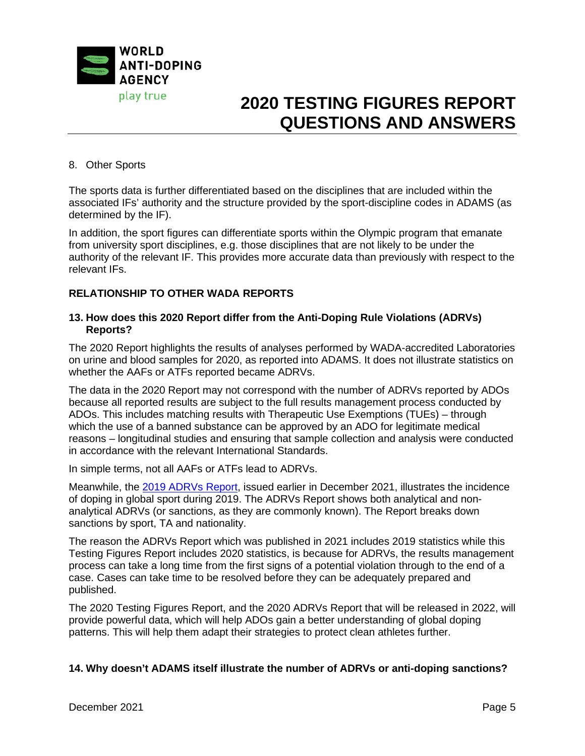

## 8. Other Sports

The sports data is further differentiated based on the disciplines that are included within the associated IFs' authority and the structure provided by the sport-discipline codes in ADAMS (as determined by the IF).

In addition, the sport figures can differentiate sports within the Olympic program that emanate from university sport disciplines, e.g. those disciplines that are not likely to be under the authority of the relevant IF. This provides more accurate data than previously with respect to the relevant IFs.

## **RELATIONSHIP TO OTHER WADA REPORTS**

## **13. How does this 2020 Report differ from the Anti-Doping Rule Violations (ADRVs) Reports?**

The 2020 Report highlights the results of analyses performed by WADA-accredited Laboratories on urine and blood samples for 2020, as reported into ADAMS. It does not illustrate statistics on whether the AAFs or ATFs reported became ADRVs.

The data in the 2020 Report may not correspond with the number of ADRVs reported by ADOs because all reported results are subject to the full results management process conducted by ADOs. This includes matching results with Therapeutic Use Exemptions (TUEs) – through which the use of a banned substance can be approved by an ADO for legitimate medical reasons – longitudinal studies and ensuring that sample collection and analysis were conducted in accordance with the relevant International Standards.

In simple terms, not all AAFs or ATFs lead to ADRVs.

Meanwhile, the 2019 [ADRVs](https://www.wada-ama.org/en/resources/general-anti-doping-information/anti-doping-rule-violations-adrvs-report) Report, issued earlier in December 2021, illustrates the incidence of doping in global sport during 2019. The ADRVs Report shows both analytical and nonanalytical ADRVs (or sanctions, as they are commonly known). The Report breaks down sanctions by sport, TA and nationality.

The reason the ADRVs Report which was published in 2021 includes 2019 statistics while this Testing Figures Report includes 2020 statistics, is because for ADRVs, the results management process can take a long time from the first signs of a potential violation through to the end of a case. Cases can take time to be resolved before they can be adequately prepared and published.

The 2020 Testing Figures Report, and the 2020 ADRVs Report that will be released in 2022, will provide powerful data, which will help ADOs gain a better understanding of global doping patterns. This will help them adapt their strategies to protect clean athletes further.

### **14. Why doesn't ADAMS itself illustrate the number of ADRVs or anti-doping sanctions?**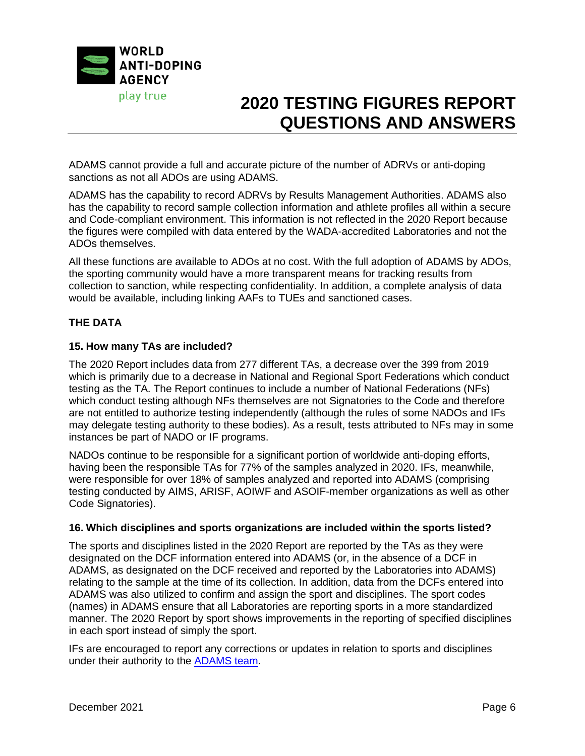

ADAMS cannot provide a full and accurate picture of the number of ADRVs or anti-doping sanctions as not all ADOs are using ADAMS.

ADAMS has the capability to record ADRVs by Results Management Authorities. ADAMS also has the capability to record sample collection information and athlete profiles all within a secure and Code-compliant environment. This information is not reflected in the 2020 Report because the figures were compiled with data entered by the WADA-accredited Laboratories and not the ADOs themselves.

All these functions are available to ADOs at no cost. With the full adoption of ADAMS by ADOs, the sporting community would have a more transparent means for tracking results from collection to sanction, while respecting confidentiality. In addition, a complete analysis of data would be available, including linking AAFs to TUEs and sanctioned cases.

## **THE DATA**

## **15. How many TAs are included?**

The 2020 Report includes data from 277 different TAs, a decrease over the 399 from 2019 which is primarily due to a decrease in National and Regional Sport Federations which conduct testing as the TA. The Report continues to include a number of National Federations (NFs) which conduct testing although NFs themselves are not Signatories to the Code and therefore are not entitled to authorize testing independently (although the rules of some NADOs and IFs may delegate testing authority to these bodies). As a result, tests attributed to NFs may in some instances be part of NADO or IF programs.

NADOs continue to be responsible for a significant portion of worldwide anti-doping efforts, having been the responsible TAs for 77% of the samples analyzed in 2020. IFs, meanwhile, were responsible for over 18% of samples analyzed and reported into ADAMS (comprising testing conducted by AIMS, ARISF, AOIWF and ASOIF-member organizations as well as other Code Signatories).

### **16. Which disciplines and sports organizations are included within the sports listed?**

The sports and disciplines listed in the 2020 Report are reported by the TAs as they were designated on the DCF information entered into ADAMS (or, in the absence of a DCF in ADAMS, as designated on the DCF received and reported by the Laboratories into ADAMS) relating to the sample at the time of its collection. In addition, data from the DCFs entered into ADAMS was also utilized to confirm and assign the sport and disciplines. The sport codes (names) in ADAMS ensure that all Laboratories are reporting sports in a more standardized manner. The 2020 Report by sport shows improvements in the reporting of specified disciplines in each sport instead of simply the sport.

IFs are encouraged to report any corrections or updates in relation to sports and disciplines under their authority to the **ADAMS** team.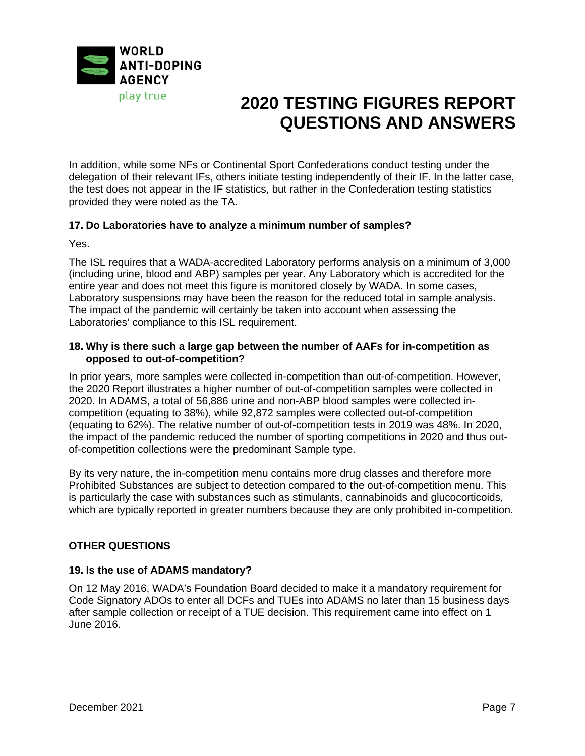

In addition, while some NFs or Continental Sport Confederations conduct testing under the delegation of their relevant IFs, others initiate testing independently of their IF. In the latter case, the test does not appear in the IF statistics, but rather in the Confederation testing statistics provided they were noted as the TA.

## **17. Do Laboratories have to analyze a minimum number of samples?**

Yes.

The ISL requires that a WADA-accredited Laboratory performs analysis on a minimum of 3,000 (including urine, blood and ABP) samples per year. Any Laboratory which is accredited for the entire year and does not meet this figure is monitored closely by WADA. In some cases, Laboratory suspensions may have been the reason for the reduced total in sample analysis. The impact of the pandemic will certainly be taken into account when assessing the Laboratories' compliance to this ISL requirement.

### **18. Why is there such a large gap between the number of AAFs for in-competition as opposed to out-of-competition?**

In prior years, more samples were collected in-competition than out-of-competition. However, the 2020 Report illustrates a higher number of out-of-competition samples were collected in 2020. In ADAMS, a total of 56,886 urine and non-ABP blood samples were collected incompetition (equating to 38%), while 92,872 samples were collected out-of-competition (equating to 62%). The relative number of out-of-competition tests in 2019 was 48%. In 2020, the impact of the pandemic reduced the number of sporting competitions in 2020 and thus outof-competition collections were the predominant Sample type.

By its very nature, the in-competition menu contains more drug classes and therefore more Prohibited Substances are subject to detection compared to the out-of-competition menu. This is particularly the case with substances such as stimulants, cannabinoids and glucocorticoids, which are typically reported in greater numbers because they are only prohibited in-competition.

## **OTHER QUESTIONS**

### **19. Is the use of ADAMS mandatory?**

On 12 May 2016, WADA's Foundation Board decided to make it a mandatory requirement for Code Signatory ADOs to enter all DCFs and TUEs into ADAMS no later than 15 business days after sample collection or receipt of a TUE decision. This requirement came into effect on 1 June 2016.